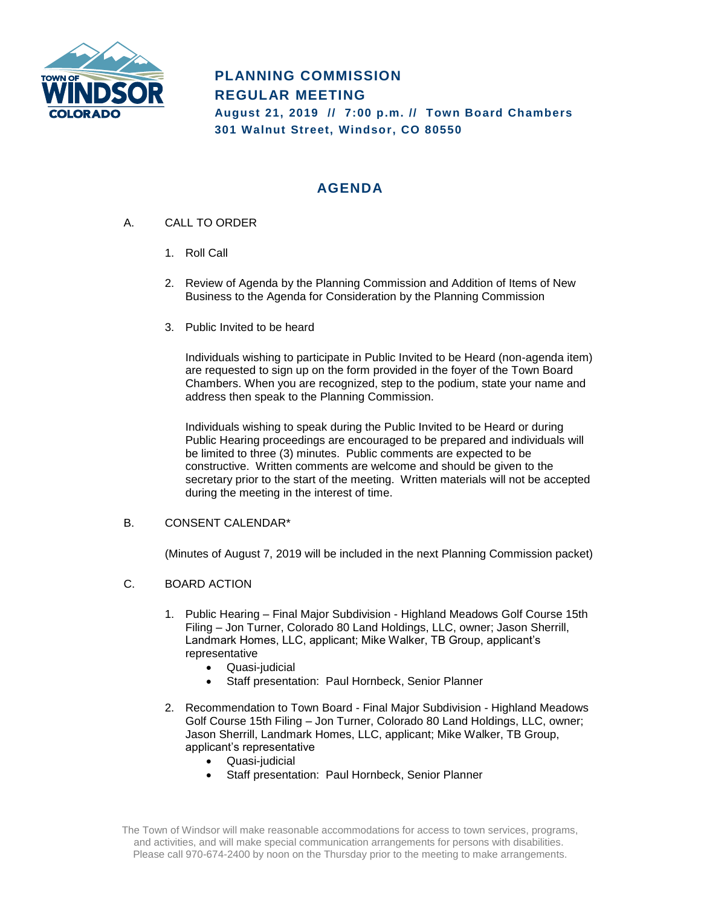

# **PLANNING COMMISSION REGULAR MEETING**

**August 21, 2019 // 7:00 p.m. // Town Board Chambers 301 Walnut Street, Windsor, CO 80550**

# **AGENDA**

- A. CALL TO ORDER
	- 1. Roll Call
	- 2. Review of Agenda by the Planning Commission and Addition of Items of New Business to the Agenda for Consideration by the Planning Commission
	- 3. Public Invited to be heard

Individuals wishing to participate in Public Invited to be Heard (non-agenda item) are requested to sign up on the form provided in the foyer of the Town Board Chambers. When you are recognized, step to the podium, state your name and address then speak to the Planning Commission.

Individuals wishing to speak during the Public Invited to be Heard or during Public Hearing proceedings are encouraged to be prepared and individuals will be limited to three (3) minutes. Public comments are expected to be constructive. Written comments are welcome and should be given to the secretary prior to the start of the meeting. Written materials will not be accepted during the meeting in the interest of time.

# B. CONSENT CALENDAR\*

(Minutes of August 7, 2019 will be included in the next Planning Commission packet)

# C. BOARD ACTION

- 1. Public Hearing Final Major Subdivision Highland Meadows Golf Course 15th Filing – Jon Turner, Colorado 80 Land Holdings, LLC, owner; Jason Sherrill, Landmark Homes, LLC, applicant; Mike Walker, TB Group, applicant's representative
	- Quasi-judicial
	- Staff presentation: Paul Hornbeck, Senior Planner
- 2. Recommendation to Town Board Final Major Subdivision Highland Meadows Golf Course 15th Filing – Jon Turner, Colorado 80 Land Holdings, LLC, owner; Jason Sherrill, Landmark Homes, LLC, applicant; Mike Walker, TB Group, applicant's representative
	- Quasi-judicial
	- Staff presentation: Paul Hornbeck, Senior Planner

The Town of Windsor will make reasonable accommodations for access to town services, programs, and activities, and will make special communication arrangements for persons with disabilities. Please call 970-674-2400 by noon on the Thursday prior to the meeting to make arrangements.